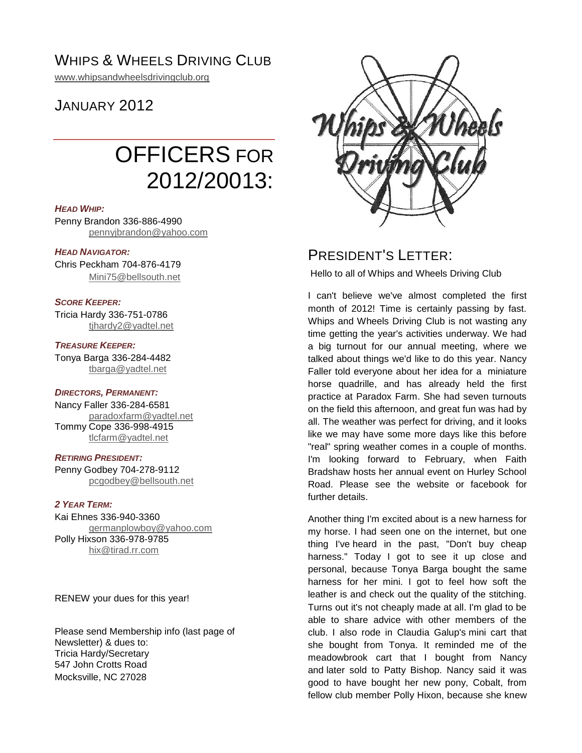## WHIPS & WHEELS DRIVING CLUB

[www.whipsandwheelsdrivingclub.org](http://www.whipsandwheelsdrivingclub.org/)

## JANUARY 2012

# OFFICERS FOR 2012/20013:

#### *HEAD WHIP:*

Penny Brandon 336-886-4990 [pennyjbrandon@yahoo.com](mailto:pennyjbrandon@yahoo.com)

#### *HEAD NAVIGATOR:*

Chris Peckham 704-876-4179 [Mini75@bellsouth.net](mailto:Mini75@bellsouth.net)

#### *SCORE KEEPER:*

Tricia Hardy 336-751-0786 [tjhardy2@yadtel.net](mailto:tjhardy2@yadtel.net)

#### *TREASURE KEEPER:*

Tonya Barga 336-284-4482 [tbarga@yadtel.net](mailto:tbarga@yadtel.net)

#### *DIRECTORS, PERMANENT:*

Nancy Faller 336-284-6581 [paradoxfarm@yadtel.net](mailto:paradoxfarm@yadtel.net) Tommy Cope 336-998-4915 [tlcfarm@yadtel.net](mailto:tlcfarm@yadtel.net)

#### *RETIRING PRESIDENT:*

Penny Godbey 704-278-9112 [pcgodbey@bellsouth.net](mailto:pcgodbey@bellsouth.net)

#### *2 YEAR TERM:*

Kai Ehnes 336-940-3360 germa[nplowboy@yahoo.com](mailto:plowboy@yahoo.com) Polly Hixson 336-978-9785 [hix@tirad.rr.com](mailto:hix@tirad.rr.com)

RENEW your dues for this year!

Please send Membership info (last page of Newsletter) & dues to: Tricia Hardy/Secretary 547 John Crotts Road Mocksville, NC 27028



### PRESIDENT'S LETTER:

Hello to all of Whips and Wheels Driving Club

I can't believe we've almost completed the first month of 2012! Time is certainly passing by fast. Whips and Wheels Driving Club is not wasting any time getting the year's activities underway. We had a big turnout for our annual meeting, where we talked about things we'd like to do this year. Nancy Faller told everyone about her idea for a miniature horse quadrille, and has already held the first practice at Paradox Farm. She had seven turnouts on the field this afternoon, and great fun was had by all. The weather was perfect for driving, and it looks like we may have some more days like this before "real" spring weather comes in a couple of months. I'm looking forward to February, when Faith Bradshaw hosts her annual event on Hurley School Road. Please see the website or facebook for further details.

Another thing I'm excited about is a new harness for my horse. I had seen one on the internet, but one thing I've heard in the past, "Don't buy cheap harness." Today I got to see it up close and personal, because Tonya Barga bought the same harness for her mini. I got to feel how soft the leather is and check out the quality of the stitching. Turns out it's not cheaply made at all. I'm glad to be able to share advice with other members of the club. I also rode in Claudia Galup's mini cart that she bought from Tonya. It reminded me of the meadowbrook cart that I bought from Nancy and later sold to Patty Bishop. Nancy said it was good to have bought her new pony, Cobalt, from fellow club member Polly Hixon, because she knew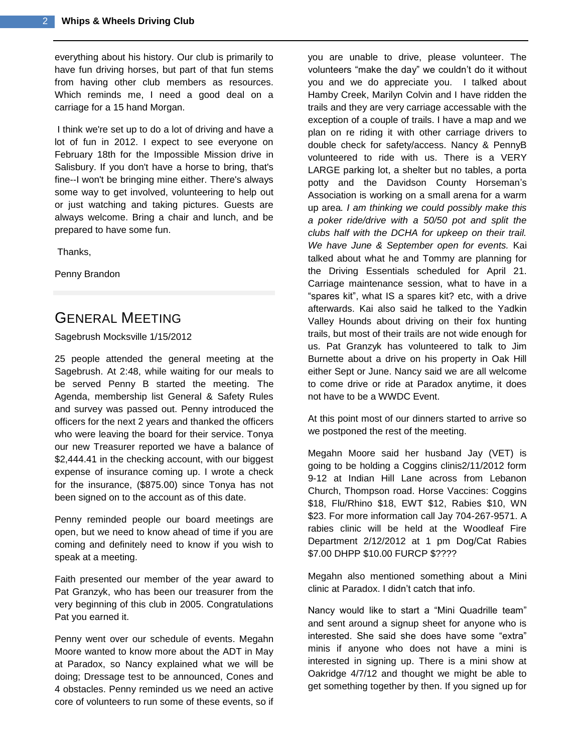everything about his history. Our club is primarily to have fun driving horses, but part of that fun stems from having other club members as resources. Which reminds me, I need a good deal on a carriage for a 15 hand Morgan.

I think we're set up to do a lot of driving and have a lot of fun in 2012. I expect to see everyone on February 18th for the Impossible Mission drive in Salisbury. If you don't have a horse to bring, that's fine--I won't be bringing mine either. There's always some way to get involved, volunteering to help out or just watching and taking pictures. Guests are always welcome. Bring a chair and lunch, and be prepared to have some fun.

Thanks,

Penny Brandon

## GENERAL MEETING

Sagebrush Mocksville 1/15/2012

25 people attended the general meeting at the Sagebrush. At 2:48, while waiting for our meals to be served Penny B started the meeting. The Agenda, membership list General & Safety Rules and survey was passed out. Penny introduced the officers for the next 2 years and thanked the officers who were leaving the board for their service. Tonya our new Treasurer reported we have a balance of \$2,444.41 in the checking account, with our biggest expense of insurance coming up. I wrote a check for the insurance, (\$875.00) since Tonya has not been signed on to the account as of this date.

Penny reminded people our board meetings are open, but we need to know ahead of time if you are coming and definitely need to know if you wish to speak at a meeting.

Faith presented our member of the year award to Pat Granzyk, who has been our treasurer from the very beginning of this club in 2005. Congratulations Pat you earned it.

Penny went over our schedule of events. Megahn Moore wanted to know more about the ADT in May at Paradox, so Nancy explained what we will be doing; Dressage test to be announced, Cones and 4 obstacles. Penny reminded us we need an active core of volunteers to run some of these events, so if

you are unable to drive, please volunteer. The volunteers "make the day" we couldn't do it without you and we do appreciate you. I talked about Hamby Creek, Marilyn Colvin and I have ridden the trails and they are very carriage accessable with the exception of a couple of trails. I have a map and we plan on re riding it with other carriage drivers to double check for safety/access. Nancy & PennyB volunteered to ride with us. There is a VERY LARGE parking lot, a shelter but no tables, a porta potty and the Davidson County Horseman's Association is working on a small arena for a warm up area*. I am thinking we could possibly make this a poker ride/drive with a 50/50 pot and split the clubs half with the DCHA for upkeep on their trail. We have June & September open for events.* Kai talked about what he and Tommy are planning for the Driving Essentials scheduled for April 21. Carriage maintenance session, what to have in a "spares kit", what IS a spares kit? etc, with a drive afterwards. Kai also said he talked to the Yadkin Valley Hounds about driving on their fox hunting trails, but most of their trails are not wide enough for us. Pat Granzyk has volunteered to talk to Jim Burnette about a drive on his property in Oak Hill either Sept or June. Nancy said we are all welcome to come drive or ride at Paradox anytime, it does not have to be a WWDC Event.

At this point most of our dinners started to arrive so we postponed the rest of the meeting.

Megahn Moore said her husband Jay (VET) is going to be holding a Coggins clinis2/11/2012 form 9-12 at Indian Hill Lane across from Lebanon Church, Thompson road. Horse Vaccines: Coggins \$18, Flu/Rhino \$18, EWT \$12, Rabies \$10, WN \$23. For more information call Jay 704-267-9571. A rabies clinic will be held at the Woodleaf Fire Department 2/12/2012 at 1 pm Dog/Cat Rabies \$7.00 DHPP \$10.00 FURCP \$????

Megahn also mentioned something about a Mini clinic at Paradox. I didn't catch that info.

Nancy would like to start a "Mini Quadrille team" and sent around a signup sheet for anyone who is interested. She said she does have some "extra" minis if anyone who does not have a mini is interested in signing up. There is a mini show at Oakridge 4/7/12 and thought we might be able to get something together by then. If you signed up for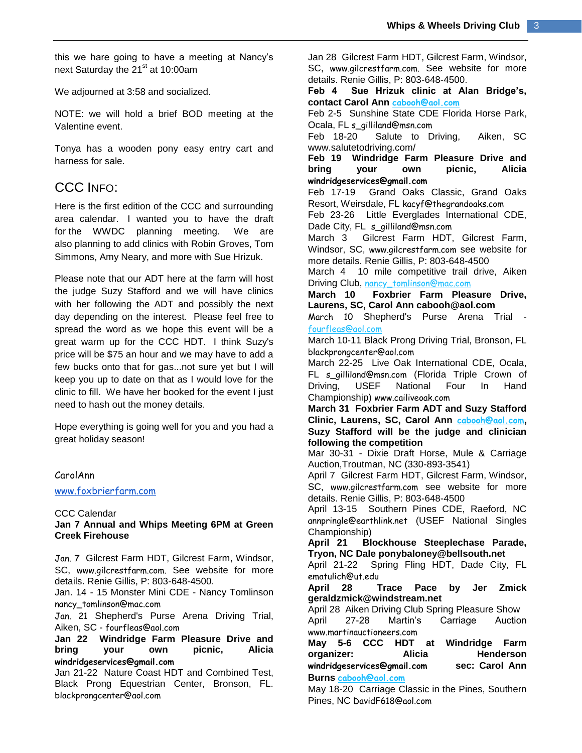this we hare going to have a meeting at Nancy's next Saturday the 21<sup>st</sup> at 10:00am

We adjourned at 3:58 and socialized.

NOTE: we will hold a brief BOD meeting at the Valentine event.

Tonya has a wooden pony easy entry cart and harness for sale.

### CCC INFO:

Here is the first edition of the CCC and surrounding area calendar. I wanted you to have the draft for the WWDC planning meeting. We are also planning to add clinics with Robin Groves, Tom Simmons, Amy Neary, and more with Sue Hrizuk.

Please note that our ADT here at the farm will host the judge Suzy Stafford and we will have clinics with her following the ADT and possibly the next day depending on the interest. Please feel free to spread the word as we hope this event will be a great warm up for the CCC HDT. I think Suzy's price will be \$75 an hour and we may have to add a few bucks onto that for gas...not sure yet but I will keep you up to date on that as I would love for the clinic to fill. We have her booked for the event I just need to hash out the money details.

Hope everything is going well for you and you had a great holiday season!

#### CarolAnn

[www.foxbrierfarm.com](http://www.foxbrierfarm.com/)

#### CCC Calendar

#### **Jan 7 Annual and Whips Meeting 6PM at Green Creek Firehouse**

Jan. 7 Gilcrest Farm HDT, Gilcrest Farm, Windsor, SC, [www.gilcrestfarm.com.](http://www.gilcrestfarm.com/) See website for more details. Renie Gillis, P: 803-648-4500.

Jan. 14 - 15 Monster Mini CDE - Nancy Tomlinson [nancy\\_tomlinson@mac.com](mailto:nancy_tomlinson@mac.com)

Jan. 21 Shepherd's Purse Arena Driving Trial, Aiken, SC - [fourfleas@aol.com](mailto:fourfleas@aol.com)

**Jan 22 Windridge Farm Pleasure Drive and bring your own picnic, Alicia [windridgeservices@gmail.com](mailto:windridgeservices@gmail.com)**

Jan 21-22 Nature Coast HDT and Combined Test, Black Prong Equestrian Center, Bronson, FL. [blackprongcenter@aol.com](mailto:blackprongcenter@aol.com)

Jan 28 Gilcrest Farm HDT, Gilcrest Farm, Windsor, SC, [www.gilcrestfarm.com.](http://www.gilcrestfarm.com/) See website for more details. Renie Gillis, P: 803-648-4500.

**Feb 4 Sue Hrizuk clinic at Alan Bridge's, contact Carol Ann [cabooh@aol.com](mailto:cabooh@aol.com)**

Feb 2-5 Sunshine State CDE Florida Horse Park, Ocala, FL [s\\_gilliland@msn.com](mailto:s_gilliland@msn.com)

Feb 18-20 Salute to Driving, Aiken, SC www.salutetodriving.com/

**Feb 19 Windridge Farm Pleasure Drive and bring your own picnic, Alicia [windridgeservices@gmail.com](mailto:windridgeservices@gmail.com)**

Feb 17-19 Grand Oaks Classic, Grand Oaks Resort, Weirsdale, FL [kacyf@thegrandoaks.com](mailto:kacyf@thegrandoaks.com)

Feb 23-26 Little Everglades International CDE, Dade City, FL [s\\_gilliland@msn.com](mailto:s_gilliland@msn.com)

March 3 Gilcrest Farm HDT, Gilcrest Farm, Windsor, SC, [www.gilcrestfarm.com](http://www.gilcrestfarm.com/) see website for more details. Renie Gillis, P: 803-648-4500

March 4 10 mile competitive trail drive, Aiken Driving Club, [nancy\\_tomlinson@mac.com](mailto:nancy_tomlinson@mac.com)

**March 10 Foxbrier Farm Pleasure Drive, Laurens, SC, Carol Ann cabooh@aol.com**

March 10 Shepherd's Purse Arena Trial [fourfleas@aol.com](mailto:fourfleas@aol.com)

March 10-11 Black Prong Driving Trial, Bronson, FL [blackprongcenter@aol.com](mailto:blackprongcenter@aol.com)

March 22-25 Live Oak International CDE, Ocala, FL [s\\_gilliland@msn.com](mailto:s_gilliland@msn.com) (Florida Triple Crown of Driving, USEF National Four In Hand Championship) [www.cailiveoak.com](http://www.cailiveoak.com/)

**March 31 Foxbrier Farm ADT and Suzy Stafford Clinic, Laurens, SC, Carol Ann [cabooh@aol.com](mailto:cabooh@aol.com), Suzy Stafford will be the judge and clinician following the competition**

Mar 30-31 - Dixie Draft Horse, Mule & Carriage Auction,Troutman, NC (330-893-3541)

April 7 Gilcrest Farm HDT, Gilcrest Farm, Windsor, SC, [www.gilcrestfarm.com](http://www.gilcrestfarm.com/) see website for more details. Renie Gillis, P: 803-648-4500

April 13-15 Southern Pines CDE, Raeford, NC [annpringle@earthlink.net](mailto:annpringle@earthlink.net) (USEF National Singles Championship)

**April 21 Blockhouse Steeplechase Parade, Tryon, NC Dale ponybaloney@bellsouth.net**

April 21-22 Spring Fling HDT, Dade City, FL [ematulich@ut.edu](mailto:ematulich@ut.edu)

**April 28 Trace Pace by Jer Zmick geraldzmick@windstream.net**

April 28 Aiken Driving Club Spring Pleasure Show April 27-28 Martin's Carriage Auction [www.martinauctioneers.com](http://www.martinauctioneers.com/)

**May 5-6 CCC HDT at Windridge Farm organizer: Alicia Henderson [windridgeservices@gmail.com](mailto:windridgeservices@gmail.com) sec: Carol Ann Burns [cabooh@aol.com](mailto:cabooh@aol.com)**

May 18-20 Carriage Classic in the Pines, Southern Pines, NC [DavidF618@aol.com](mailto:DavidF618@aol.com)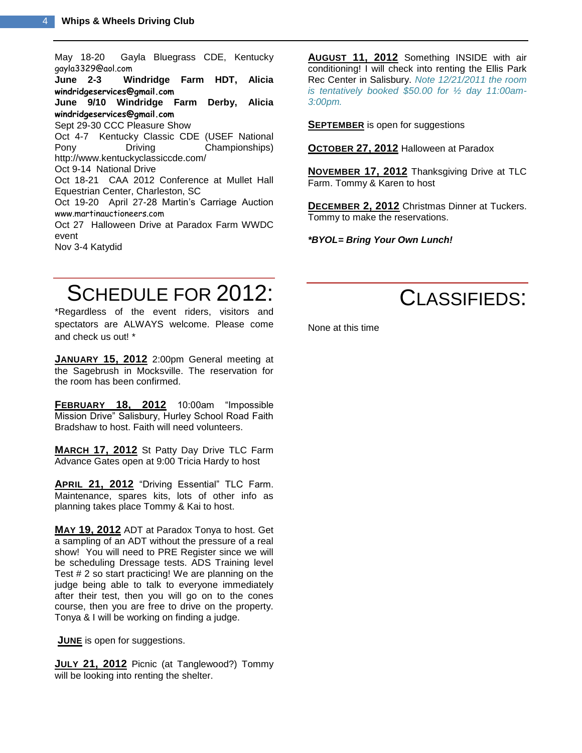May 18-20 Gayla Bluegrass CDE, Kentucky [gayla3329@aol.com](mailto:gayla3329@aol.com) Windridge Farm HDT, Alicia **[windridgeservices@gmail.com](mailto:windridgeservices@gmail.com) June 9/10 Windridge Farm Derby, Alicia [windridgeservices@gmail.com](mailto:windridgeservices@gmail.com)** Sept 29-30 CCC Pleasure Show Oct 4-7 Kentucky Classic CDE (USEF National Pony Driving Championships) http://www.kentuckyclassiccde.com/ Oct 9-14 National Drive Oct 18-21 CAA 2012 Conference at Mullet Hall Equestrian Center, Charleston, SC Oct 19-20 April 27-28 Martin's Carriage Auction [www.martinauctioneers.com](http://www.martinauctioneers.com/) Oct 27 Halloween Drive at Paradox Farm WWDC event Nov 3-4 Katydid

**AUGUST 11, 2012** Something INSIDE with air conditioning! I will check into renting the Ellis Park Rec Center in Salisbury. *Note 12/21/2011 the room is tentatively booked \$50.00 for ½ day 11:00am-3:00pm.*

**SEPTEMBER** is open for suggestions

**OCTOBER 27, 2012** Halloween at Paradox

**NOVEMBER 17, 2012** Thanksgiving Drive at TLC Farm. Tommy & Karen to host

**DECEMBER 2, 2012** Christmas Dinner at Tuckers. Tommy to make the reservations.

*\*BYOL= Bring Your Own Lunch!*

## SCHEDULE FOR 2012:

\*Regardless of the event riders, visitors and spectators are ALWAYS welcome. Please come and check us out! \*

**JANUARY 15, 2012** 2:00pm General meeting at the Sagebrush in Mocksville. The reservation for the room has been confirmed.

**FEBRUARY 18, 2012** 10:00am "Impossible Mission Drive" Salisbury, Hurley School Road Faith Bradshaw to host. Faith will need volunteers.

**MARCH 17, 2012** St Patty Day Drive TLC Farm Advance Gates open at 9:00 Tricia Hardy to host

**APRIL 21, 2012** "Driving Essential" TLC Farm. Maintenance, spares kits, lots of other info as planning takes place Tommy & Kai to host.

**MAY 19, 2012** ADT at Paradox Tonya to host. Get a sampling of an ADT without the pressure of a real show! You will need to PRE Register since we will be scheduling Dressage tests. ADS Training level Test # 2 so start practicing! We are planning on the judge being able to talk to everyone immediately after their test, then you will go on to the cones course, then you are free to drive on the property. Tonya & I will be working on finding a judge.

**JUNE** is open for suggestions.

**JULY 21, 2012** Picnic (at Tanglewood?) Tommy will be looking into renting the shelter.



None at this time